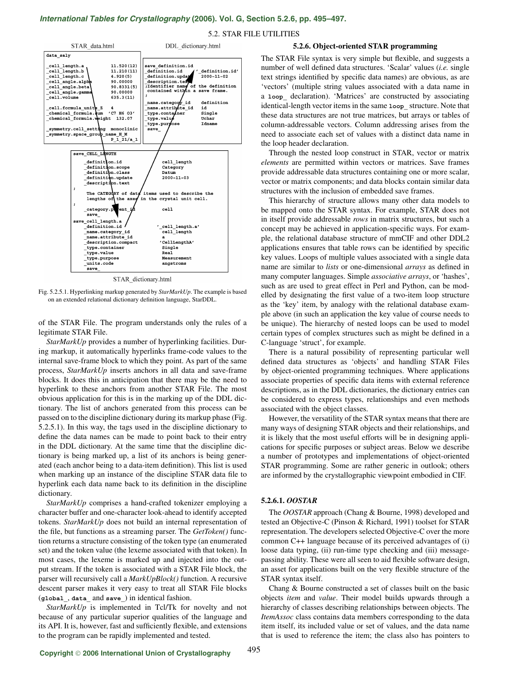# *International Tables for Crystallography* **[\(2006\). Vol. G, Section 5.2.6, pp. 495–497.](http://it.iucr.org/Ga/ch5o2v0001/sec5o2o6/)**



STAR\_dictionary.html

Fig. 5.2.5.1. Hyperlinking markup generated by *StarMarkUp*. The example is based on an extended relational dictionary definition language, StarDDL.

of the STAR File. The program understands only the rules of a legitimate STAR File.

*StarMarkUp* provides a number of hyperlinking facilities. During markup, it automatically hyperlinks frame-code values to the internal save-frame block to which they point. As part of the same process, *StarMarkUp* inserts anchors in all data and save-frame blocks. It does this in anticipation that there may be the need to hyperlink to these anchors from another STAR File. The most obvious application for this is in the marking up of the DDL dictionary. The list of anchors generated from this process can be passed on to the discipline dictionary during its markup phase (Fig. 5.2.5.1). In this way, the tags used in the discipline dictionary to define the data names can be made to point back to their entry in the DDL dictionary. At the same time that the discipline dictionary is being marked up, a list of its anchors is being generated (each anchor being to a data-item definition). This list is used when marking up an instance of the discipline STAR data file to hyperlink each data name back to its definition in the discipline dictionary.

*StarMarkUp* comprises a hand-crafted tokenizer employing a character buffer and one-character look-ahead to identify accepted tokens. *StarMarkUp* does not build an internal representation of the file, but functions as a streaming parser. The *GetToken()* function returns a structure consisting of the token type (an enumerated set) and the token value (the lexeme associated with that token). In most cases, the lexeme is marked up and injected into the output stream. If the token is associated with a STAR File block, the parser will recursively call a *MarkUpBlock()* function. A recursive descent parser makes it very easy to treat all STAR File blocks (**global\_**, **data\_** and **save\_**) in identical fashion.

*StarMarkUp* is implemented in Tcl/Tk for novelty and not because of any particular superior qualities of the language and its API. It is, however, fast and sufficiently flexible, and extensions to the program can be rapidly implemented and tested.

# **5.2.6. Object-oriented STAR programming**

The STAR File syntax is very simple but flexible, and suggests a number of well defined data structures. 'Scalar' values (*i.e.* single text strings identified by specific data names) are obvious, as are 'vectors' (multiple string values associated with a data name in a **loop\_** declaration). 'Matrices' are constructed by associating identical-length vector items in the same **loop\_** structure. Note that these data structures are not true matrices, but arrays or tables of column-addressable vectors. Column addressing arises from the need to associate each set of values with a distinct data name in the loop header declaration.

Through the nested loop construct in STAR, vector or matrix *elements* are permitted within vectors or matrices. Save frames provide addressable data structures containing one or more scalar, vector or matrix components; and data blocks contain similar data structures with the inclusion of embedded save frames.

This hierarchy of structure allows many other data models to be mapped onto the STAR syntax. For example, STAR does not in itself provide addressable *rows* in matrix structures, but such a concept may be achieved in application-specific ways. For example, the relational database structure of mmCIF and other DDL2 applications ensures that table rows can be identified by specific key values. Loops of multiple values associated with a single data name are similar to *lists* or one-dimensional *arrays* as defined in many computer languages. Simple *associative arrays*, or 'hashes', such as are used to great effect in Perl and Python, can be modelled by designating the first value of a two-item loop structure as the 'key' item, by analogy with the relational database example above (in such an application the key value of course needs to be unique). The hierarchy of nested loops can be used to model certain types of complex structures such as might be defined in a C-language 'struct', for example.

There is a natural possibility of representing particular well defined data structures as 'objects' and handling STAR Files by object-oriented programming techniques. Where applications associate properties of specific data items with external reference descriptions, as in the DDL dictionaries, the dictionary entries can be considered to express types, relationships and even methods associated with the object classes.

However, the versatility of the STAR syntax means that there are many ways of designing STAR objects and their relationships, and it is likely that the most useful efforts will be in designing applications for specific purposes or subject areas. Below we describe a number of prototypes and implementations of object-oriented STAR programming. Some are rather generic in outlook; others are informed by the crystallographic viewpoint embodied in CIF.

# **5.2.6.1.** *OOSTAR*

The *OOSTAR* approach (Chang & Bourne, 1998) developed and tested an Objective-C (Pinson & Richard, 1991) toolset for STAR representation. The developers selected Objective-C over the more common C++ language because of its perceived advantages of (i) loose data typing, (ii) run-time type checking and (iii) messagepassing ability. These were all seen to aid flexible software design, an asset for applications built on the very flexible structure of the STAR syntax itself.

Chang & Bourne constructed a set of classes built on the basic objects *item* and *value*. Their model builds upwards through a hierarchy of classes describing relationships between objects. The *ItemAssoc* class contains data members corresponding to the data item itself, its included value or set of values, and the data name that is used to reference the item; the class also has pointers to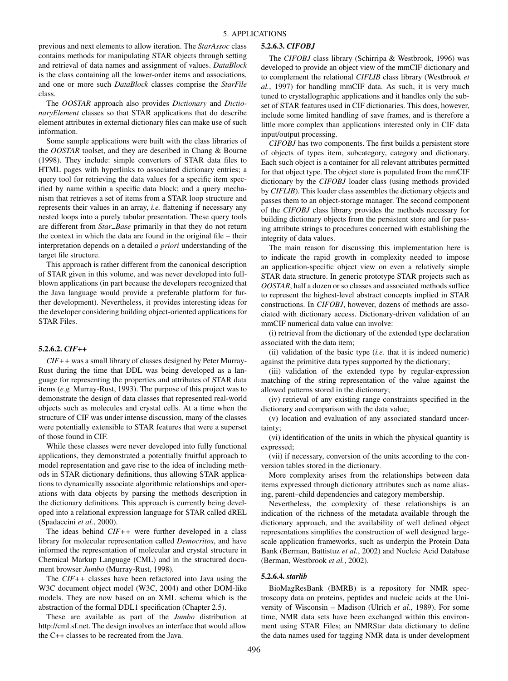previous and next elements to allow iteration. The *StarAssoc* class contains methods for manipulating STAR objects through setting and retrieval of data names and assignment of values. *DataBlock* is the class containing all the lower-order items and associations, and one or more such *DataBlock* classes comprise the *StarFile* class.

The *OOSTAR* approach also provides *Dictionary* and *DictionaryElement* classes so that STAR applications that do describe element attributes in external dictionary files can make use of such information.

Some sample applications were built with the class libraries of the *OOSTAR* toolset, and they are described in Chang & Bourne (1998). They include: simple converters of STAR data files to HTML pages with hyperlinks to associated dictionary entries; a query tool for retrieving the data values for a specific item specified by name within a specific data block; and a query mechanism that retrieves a set of items from a STAR loop structure and represents their values in an array, *i.e.* flattening if necessary any nested loops into a purely tabular presentation. These query tools are different from *Star Base* primarily in that they do not return the context in which the data are found in the original file – their interpretation depends on a detailed *a priori* understanding of the target file structure.

This approach is rather different from the canonical description of STAR given in this volume, and was never developed into fullblown applications (in part because the developers recognized that the Java language would provide a preferable platform for further development). Nevertheless, it provides interesting ideas for the developer considering building object-oriented applications for STAR Files.

### **5.2.6.2.** *CIF++*

*CIF++* was a small library of classes designed by Peter Murray-Rust during the time that DDL was being developed as a language for representing the properties and attributes of STAR data items (*e.g.* Murray-Rust, 1993). The purpose of this project was to demonstrate the design of data classes that represented real-world objects such as molecules and crystal cells. At a time when the structure of CIF was under intense discussion, many of the classes were potentially extensible to STAR features that were a superset of those found in CIF.

While these classes were never developed into fully functional applications, they demonstrated a potentially fruitful approach to model representation and gave rise to the idea of including methods in STAR dictionary definitions, thus allowing STAR applications to dynamically associate algorithmic relationships and operations with data objects by parsing the methods description in the dictionary definitions. This approach is currently being developed into a relational expression language for STAR called dREL (Spadaccini *et al.*, 2000).

The ideas behind *CIF++* were further developed in a class library for molecular representation called *Democritos*, and have informed the representation of molecular and crystal structure in Chemical Markup Language (CML) and in the structured document browser *Jumbo* (Murray-Rust, 1998).

The *CIF++* classes have been refactored into Java using the W3C document object model (W3C, 2004) and other DOM-like models. They are now based on an XML schema which is the abstraction of the formal DDL1 specification (Chapter 2.5).

These are available as part of the *Jumbo* distribution at http://cml.sf.net. The design involves an interface that would allow the C++ classes to be recreated from the Java.

### **5.2.6.3.** *CIFOBJ*

The *CIFOBJ* class library (Schirripa & Westbrook, 1996) was developed to provide an object view of the mmCIF dictionary and to complement the relational *CIFLIB* class library (Westbrook *et al.*, 1997) for handling mmCIF data. As such, it is very much tuned to crystallographic applications and it handles only the subset of STAR features used in CIF dictionaries. This does, however, include some limited handling of save frames, and is therefore a little more complex than applications interested only in CIF data input/output processing.

*CIFOBJ* has two components. The first builds a persistent store of objects of types item, subcategory, category and dictionary. Each such object is a container for all relevant attributes permitted for that object type. The object store is populated from the mmCIF dictionary by the *CIFOBJ* loader class (using methods provided by *CIFLIB*). This loader class assembles the dictionary objects and passes them to an object-storage manager. The second component of the *CIFOBJ* class library provides the methods necessary for building dictionary objects from the persistent store and for passing attribute strings to procedures concerned with establishing the integrity of data values.

The main reason for discussing this implementation here is to indicate the rapid growth in complexity needed to impose an application-specific object view on even a relatively simple STAR data structure. In generic prototype STAR projects such as *OOSTAR*, half a dozen or so classes and associated methods suffice to represent the highest-level abstract concepts implied in STAR constructions. In *CIFOBJ*, however, dozens of methods are associated with dictionary access. Dictionary-driven validation of an mmCIF numerical data value can involve:

(i) retrieval from the dictionary of the extended type declaration associated with the data item;

(ii) validation of the basic type (*i.e.* that it is indeed numeric) against the primitive data types supported by the dictionary;

(iii) validation of the extended type by regular-expression matching of the string representation of the value against the allowed patterns stored in the dictionary;

(iv) retrieval of any existing range constraints specified in the dictionary and comparison with the data value;

(v) location and evaluation of any associated standard uncertainty;

(vi) identification of the units in which the physical quantity is expressed;

(vii) if necessary, conversion of the units according to the conversion tables stored in the dictionary.

More complexity arises from the relationships between data items expressed through dictionary attributes such as name aliasing, parent–child dependencies and category membership.

Nevertheless, the complexity of these relationships is an indication of the richness of the metadata available through the dictionary approach, and the availability of well defined object representations simplifies the construction of well designed largescale application frameworks, such as underpin the Protein Data Bank (Berman, Battistuz *et al.*, 2002) and Nucleic Acid Database (Berman, Westbrook *et al.*, 2002).

# **5.2.6.4.** *starlib*

BioMagResBank (BMRB) is a repository for NMR spectroscopy data on proteins, peptides and nucleic acids at the University of Wisconsin – Madison (Ulrich *et al.*, 1989). For some time, NMR data sets have been exchanged within this environment using STAR Files; an NMRStar data dictionary to define the data names used for tagging NMR data is under development